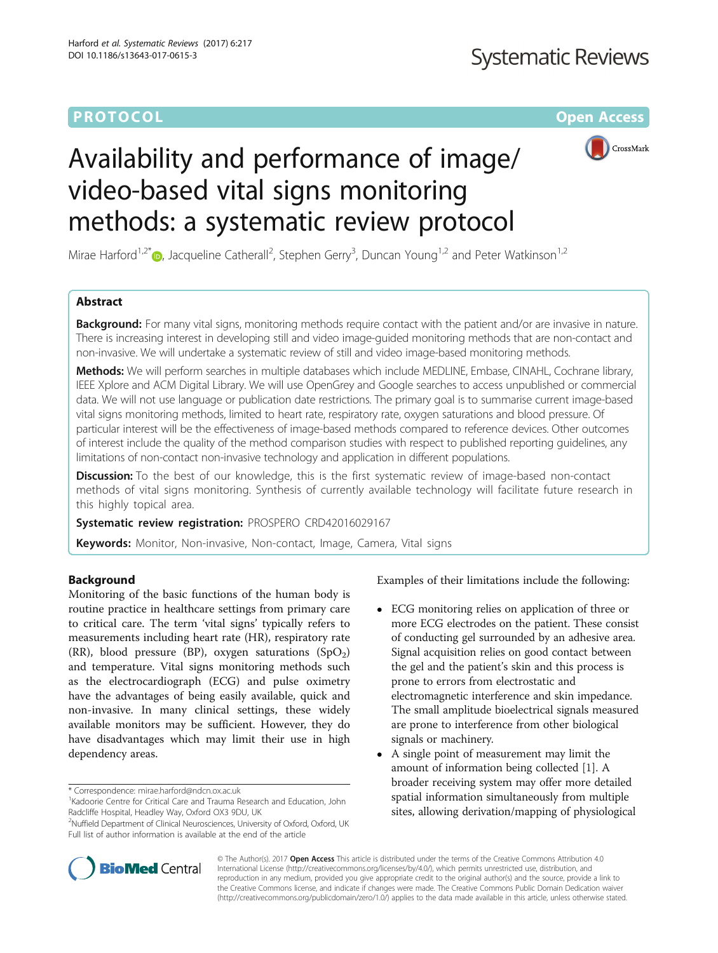# **PROTOCOL CONSUMING THE OPEN ACCESS**



# Availability and performance of image/ video-based vital signs monitoring methods: a systematic review protocol

Mirae Harford<sup>1[,](http://orcid.org/0000-0003-2851-1577)2\*</sup> $\bullet$ , Jacqueline Catherall<sup>2</sup>, Stephen Gerry<sup>3</sup>, Duncan Young<sup>1,2</sup> and Peter Watkinson<sup>1,2</sup>

# Abstract

Background: For many vital signs, monitoring methods require contact with the patient and/or are invasive in nature. There is increasing interest in developing still and video image-guided monitoring methods that are non-contact and non-invasive. We will undertake a systematic review of still and video image-based monitoring methods.

Methods: We will perform searches in multiple databases which include MEDLINE, Embase, CINAHL, Cochrane library, IEEE Xplore and ACM Digital Library. We will use OpenGrey and Google searches to access unpublished or commercial data. We will not use language or publication date restrictions. The primary goal is to summarise current image-based vital signs monitoring methods, limited to heart rate, respiratory rate, oxygen saturations and blood pressure. Of particular interest will be the effectiveness of image-based methods compared to reference devices. Other outcomes of interest include the quality of the method comparison studies with respect to published reporting guidelines, any limitations of non-contact non-invasive technology and application in different populations.

**Discussion:** To the best of our knowledge, this is the first systematic review of image-based non-contact methods of vital signs monitoring. Synthesis of currently available technology will facilitate future research in this highly topical area.

Systematic review registration: PROSPERO [CRD42016029167](http://www.crd.york.ac.uk/PROSPERO/display_record.php?ID=CRD42016029167)

Keywords: Monitor, Non-invasive, Non-contact, Image, Camera, Vital signs

## Background

Monitoring of the basic functions of the human body is routine practice in healthcare settings from primary care to critical care. The term 'vital signs' typically refers to measurements including heart rate (HR), respiratory rate (RR), blood pressure (BP), oxygen saturations  $(SpO<sub>2</sub>)$ and temperature. Vital signs monitoring methods such as the electrocardiograph (ECG) and pulse oximetry have the advantages of being easily available, quick and non-invasive. In many clinical settings, these widely available monitors may be sufficient. However, they do have disadvantages which may limit their use in high dependency areas.

\* Correspondence: [mirae.harford@ndcn.ox.ac.uk](mailto:mirae.harford@ndcn.ox.ac.uk) <sup>1</sup>

Examples of their limitations include the following:

- ECG monitoring relies on application of three or more ECG electrodes on the patient. These consist of conducting gel surrounded by an adhesive area. Signal acquisition relies on good contact between the gel and the patient's skin and this process is prone to errors from electrostatic and electromagnetic interference and skin impedance. The small amplitude bioelectrical signals measured are prone to interference from other biological signals or machinery.
- A single point of measurement may limit the amount of information being collected [\[1](#page-5-0)]. A broader receiving system may offer more detailed spatial information simultaneously from multiple sites, allowing derivation/mapping of physiological



© The Author(s). 2017 **Open Access** This article is distributed under the terms of the Creative Commons Attribution 4.0 International License [\(http://creativecommons.org/licenses/by/4.0/](http://creativecommons.org/licenses/by/4.0/)), which permits unrestricted use, distribution, and reproduction in any medium, provided you give appropriate credit to the original author(s) and the source, provide a link to the Creative Commons license, and indicate if changes were made. The Creative Commons Public Domain Dedication waiver [\(http://creativecommons.org/publicdomain/zero/1.0/](http://creativecommons.org/publicdomain/zero/1.0/)) applies to the data made available in this article, unless otherwise stated.

<sup>&</sup>lt;sup>1</sup> Kadoorie Centre for Critical Care and Trauma Research and Education, John Radcliffe Hospital, Headley Way, Oxford OX3 9DU, UK

<sup>&</sup>lt;sup>2</sup>Nuffield Department of Clinical Neurosciences, University of Oxford, Oxford, UK Full list of author information is available at the end of the article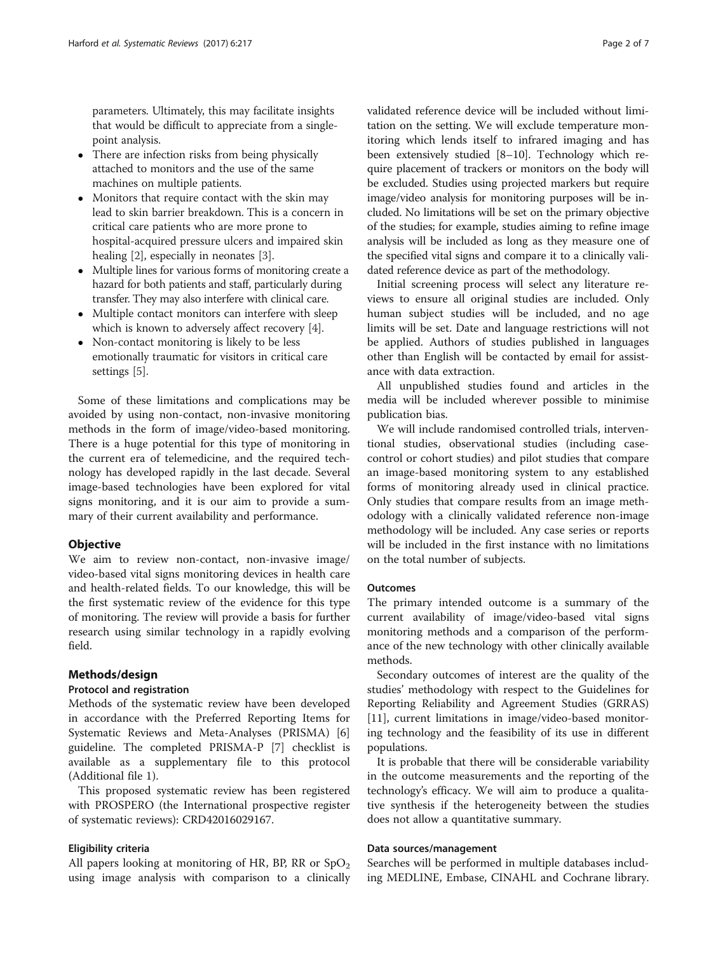parameters. Ultimately, this may facilitate insights that would be difficult to appreciate from a singlepoint analysis.

- There are infection risks from being physically attached to monitors and the use of the same machines on multiple patients.
- Monitors that require contact with the skin may lead to skin barrier breakdown. This is a concern in critical care patients who are more prone to hospital-acquired pressure ulcers and impaired skin healing [[2](#page-6-0)], especially in neonates [[3](#page-6-0)].
- Multiple lines for various forms of monitoring create a hazard for both patients and staff, particularly during transfer. They may also interfere with clinical care.
- Multiple contact monitors can interfere with sleep which is known to adversely affect recovery [[4\]](#page-6-0).
- Non-contact monitoring is likely to be less emotionally traumatic for visitors in critical care settings [\[5\]](#page-6-0).

Some of these limitations and complications may be avoided by using non-contact, non-invasive monitoring methods in the form of image/video-based monitoring. There is a huge potential for this type of monitoring in the current era of telemedicine, and the required technology has developed rapidly in the last decade. Several image-based technologies have been explored for vital signs monitoring, and it is our aim to provide a summary of their current availability and performance.

## **Objective**

We aim to review non-contact, non-invasive image/ video-based vital signs monitoring devices in health care and health-related fields. To our knowledge, this will be the first systematic review of the evidence for this type of monitoring. The review will provide a basis for further research using similar technology in a rapidly evolving field.

## Methods/design

## Protocol and registration

Methods of the systematic review have been developed in accordance with the Preferred Reporting Items for Systematic Reviews and Meta-Analyses (PRISMA) [\[6](#page-6-0)] guideline. The completed PRISMA-P [\[7](#page-6-0)] checklist is available as a supplementary file to this protocol (Additional file [1](#page-5-0)).

This proposed systematic review has been registered with PROSPERO (the International prospective register of systematic reviews): CRD42016029167.

# Eligibility criteria

All papers looking at monitoring of HR, BP, RR or  $SpO<sub>2</sub>$ using image analysis with comparison to a clinically validated reference device will be included without limitation on the setting. We will exclude temperature monitoring which lends itself to infrared imaging and has been extensively studied [[8](#page-6-0)–[10](#page-6-0)]. Technology which require placement of trackers or monitors on the body will be excluded. Studies using projected markers but require image/video analysis for monitoring purposes will be included. No limitations will be set on the primary objective of the studies; for example, studies aiming to refine image analysis will be included as long as they measure one of the specified vital signs and compare it to a clinically validated reference device as part of the methodology.

Initial screening process will select any literature reviews to ensure all original studies are included. Only human subject studies will be included, and no age limits will be set. Date and language restrictions will not be applied. Authors of studies published in languages other than English will be contacted by email for assistance with data extraction.

All unpublished studies found and articles in the media will be included wherever possible to minimise publication bias.

We will include randomised controlled trials, interventional studies, observational studies (including casecontrol or cohort studies) and pilot studies that compare an image-based monitoring system to any established forms of monitoring already used in clinical practice. Only studies that compare results from an image methodology with a clinically validated reference non-image methodology will be included. Any case series or reports will be included in the first instance with no limitations on the total number of subjects.

#### **Outcomes**

The primary intended outcome is a summary of the current availability of image/video-based vital signs monitoring methods and a comparison of the performance of the new technology with other clinically available methods.

Secondary outcomes of interest are the quality of the studies' methodology with respect to the Guidelines for Reporting Reliability and Agreement Studies (GRRAS) [[11\]](#page-6-0), current limitations in image/video-based monitoring technology and the feasibility of its use in different populations.

It is probable that there will be considerable variability in the outcome measurements and the reporting of the technology's efficacy. We will aim to produce a qualitative synthesis if the heterogeneity between the studies does not allow a quantitative summary.

#### Data sources/management

Searches will be performed in multiple databases including MEDLINE, Embase, CINAHL and Cochrane library.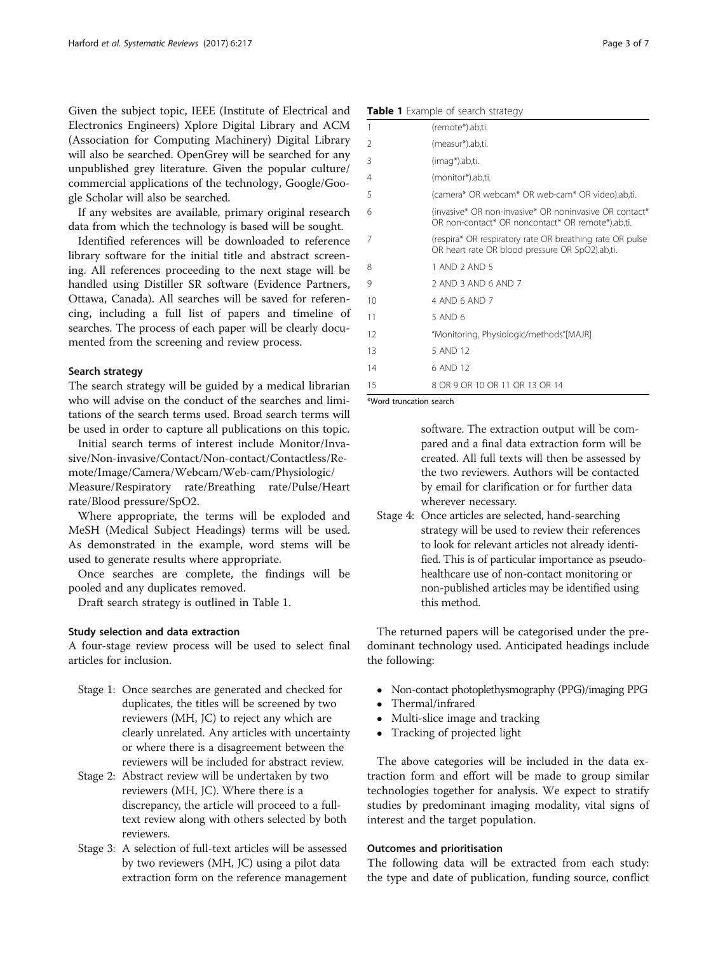Given the subject topic, IEEE (Institute of Electrical and Electronics Engineers) Xplore Digital Library and ACM (Association for Computing Machinery) Digital Library will also be searched. OpenGrey will be searched for any unpublished grey literature. Given the popular culture/ commercial applications of the technology, Google/Google Scholar will also be searched.

If any websites are available, primary original research data from which the technology is based will be sought.

Identified references will be downloaded to reference library software for the initial title and abstract screening. All references proceeding to the next stage will be handled using Distiller SR software (Evidence Partners, Ottawa, Canada). All searches will be saved for referencing, including a full list of papers and timeline of searches. The process of each paper will be clearly documented from the screening and review process.

#### Search strategy

The search strategy will be guided by a medical librarian who will advise on the conduct of the searches and limitations of the search terms used. Broad search terms will be used in order to capture all publications on this topic.

Initial search terms of interest include Monitor/Invasive/Non-invasive/Contact/Non-contact/Contactless/Remote/Image/Camera/Webcam/Web-cam/Physiologic/ Measure/Respiratory rate/Breathing rate/Pulse/Heart rate/Blood pressure/SpO2.

Where appropriate, the terms will be exploded and MeSH (Medical Subject Headings) terms will be used. As demonstrated in the example, word stems will be used to generate results where appropriate.

Once searches are complete, the findings will be pooled and any duplicates removed.

Draft search strategy is outlined in Table 1.

#### Study selection and data extraction

A four-stage review process will be used to select final articles for inclusion.

- Stage 1: Once searches are generated and checked for duplicates, the titles will be screened by two reviewers (MH, JC) to reject any which are clearly unrelated. Any articles with uncertainty or where there is a disagreement between the reviewers will be included for abstract review.
- Stage 2: Abstract review will be undertaken by two reviewers (MH, JC). Where there is a discrepancy, the article will proceed to a fulltext review along with others selected by both reviewers.
- Stage 3: A selection of full-text articles will be assessed by two reviewers (MH, JC) using a pilot data extraction form on the reference management

## Table 1 Example of search strategy

| 1  | (remote*).ab,ti.                                                                                            |
|----|-------------------------------------------------------------------------------------------------------------|
| 2  | (measur*).ab,ti.                                                                                            |
| 3  | (imag*).ab,ti.                                                                                              |
| 4  | (monitor*).ab,ti.                                                                                           |
| 5  | (camera* OR webcam* OR web-cam* OR video).ab.ti.                                                            |
| 6  | (invasive* OR non-invasive* OR noninvasive OR contact*<br>OR non-contact* OR noncontact* OR remote*).ab.ti. |
| 7  | (respira* OR respiratory rate OR breathing rate OR pulse<br>OR heart rate OR blood pressure OR SpO2).ab,ti. |
| 8  | 1 AND 2 AND 5                                                                                               |
| 9  | 2 AND 3 AND 6 AND 7                                                                                         |
| 10 | 4 AND 6 AND 7                                                                                               |
| 11 | 5 AND 6                                                                                                     |
| 12 | "Monitoring, Physiologic/methods"[MAJR]                                                                     |
| 13 | 5 AND 12                                                                                                    |
| 14 | 6 AND 12                                                                                                    |
| 15 | 8 OR 9 OR 10 OR 11 OR 13 OR 14                                                                              |
|    |                                                                                                             |

\*Word truncation search

software. The extraction output will be compared and a final data extraction form will be created. All full texts will then be assessed by the two reviewers. Authors will be contacted by email for clarification or for further data wherever necessary.

Stage 4: Once articles are selected, hand-searching strategy will be used to review their references to look for relevant articles not already identified. This is of particular importance as pseudohealthcare use of non-contact monitoring or non-published articles may be identified using this method.

The returned papers will be categorised under the predominant technology used. Anticipated headings include the following:

- Non-contact photoplethysmography (PPG)/imaging PPG<br>• Thermal/infrared
- Thermal/infrared<br>• Multi-slice image
- Multi-slice image and tracking
- Tracking of projected light

The above categories will be included in the data extraction form and effort will be made to group similar technologies together for analysis. We expect to stratify studies by predominant imaging modality, vital signs of interest and the target population.

## Outcomes and prioritisation

The following data will be extracted from each study: the type and date of publication, funding source, conflict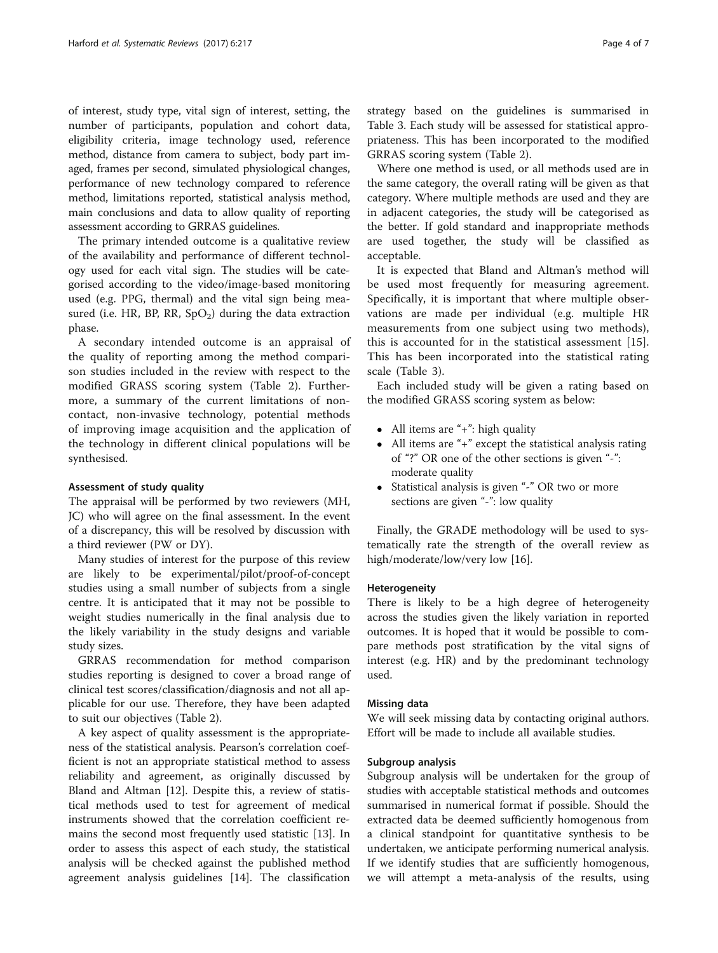of interest, study type, vital sign of interest, setting, the number of participants, population and cohort data, eligibility criteria, image technology used, reference method, distance from camera to subject, body part imaged, frames per second, simulated physiological changes, performance of new technology compared to reference method, limitations reported, statistical analysis method, main conclusions and data to allow quality of reporting assessment according to GRRAS guidelines.

The primary intended outcome is a qualitative review of the availability and performance of different technology used for each vital sign. The studies will be categorised according to the video/image-based monitoring used (e.g. PPG, thermal) and the vital sign being measured (i.e. HR, BP, RR,  $SpO<sub>2</sub>$ ) during the data extraction phase.

A secondary intended outcome is an appraisal of the quality of reporting among the method comparison studies included in the review with respect to the modified GRASS scoring system (Table [2](#page-4-0)). Furthermore, a summary of the current limitations of noncontact, non-invasive technology, potential methods of improving image acquisition and the application of the technology in different clinical populations will be synthesised.

## Assessment of study quality

The appraisal will be performed by two reviewers (MH, JC) who will agree on the final assessment. In the event of a discrepancy, this will be resolved by discussion with a third reviewer (PW or DY).

Many studies of interest for the purpose of this review are likely to be experimental/pilot/proof-of-concept studies using a small number of subjects from a single centre. It is anticipated that it may not be possible to weight studies numerically in the final analysis due to the likely variability in the study designs and variable study sizes.

GRRAS recommendation for method comparison studies reporting is designed to cover a broad range of clinical test scores/classification/diagnosis and not all applicable for our use. Therefore, they have been adapted to suit our objectives (Table [2\)](#page-4-0).

A key aspect of quality assessment is the appropriateness of the statistical analysis. Pearson's correlation coefficient is not an appropriate statistical method to assess reliability and agreement, as originally discussed by Bland and Altman [[12\]](#page-6-0). Despite this, a review of statistical methods used to test for agreement of medical instruments showed that the correlation coefficient remains the second most frequently used statistic [[13\]](#page-6-0). In order to assess this aspect of each study, the statistical analysis will be checked against the published method agreement analysis guidelines [\[14\]](#page-6-0). The classification strategy based on the guidelines is summarised in Table [3.](#page-5-0) Each study will be assessed for statistical appropriateness. This has been incorporated to the modified GRRAS scoring system (Table [2\)](#page-4-0).

Where one method is used, or all methods used are in the same category, the overall rating will be given as that category. Where multiple methods are used and they are in adjacent categories, the study will be categorised as the better. If gold standard and inappropriate methods are used together, the study will be classified as acceptable.

It is expected that Bland and Altman's method will be used most frequently for measuring agreement. Specifically, it is important that where multiple observations are made per individual (e.g. multiple HR measurements from one subject using two methods), this is accounted for in the statistical assessment [\[15](#page-6-0)]. This has been incorporated into the statistical rating scale (Table [3](#page-5-0)).

Each included study will be given a rating based on the modified GRASS scoring system as below:

- All items are " $+$ ": high quality
- All items are "+" except the statistical analysis rating of "?" OR one of the other sections is given "-": moderate quality
- Statistical analysis is given "-" OR two or more sections are given "-": low quality

Finally, the GRADE methodology will be used to systematically rate the strength of the overall review as high/moderate/low/very low [[16\]](#page-6-0).

#### Heterogeneity

There is likely to be a high degree of heterogeneity across the studies given the likely variation in reported outcomes. It is hoped that it would be possible to compare methods post stratification by the vital signs of interest (e.g. HR) and by the predominant technology used.

## Missing data

We will seek missing data by contacting original authors. Effort will be made to include all available studies.

## Subgroup analysis

Subgroup analysis will be undertaken for the group of studies with acceptable statistical methods and outcomes summarised in numerical format if possible. Should the extracted data be deemed sufficiently homogenous from a clinical standpoint for quantitative synthesis to be undertaken, we anticipate performing numerical analysis. If we identify studies that are sufficiently homogenous, we will attempt a meta-analysis of the results, using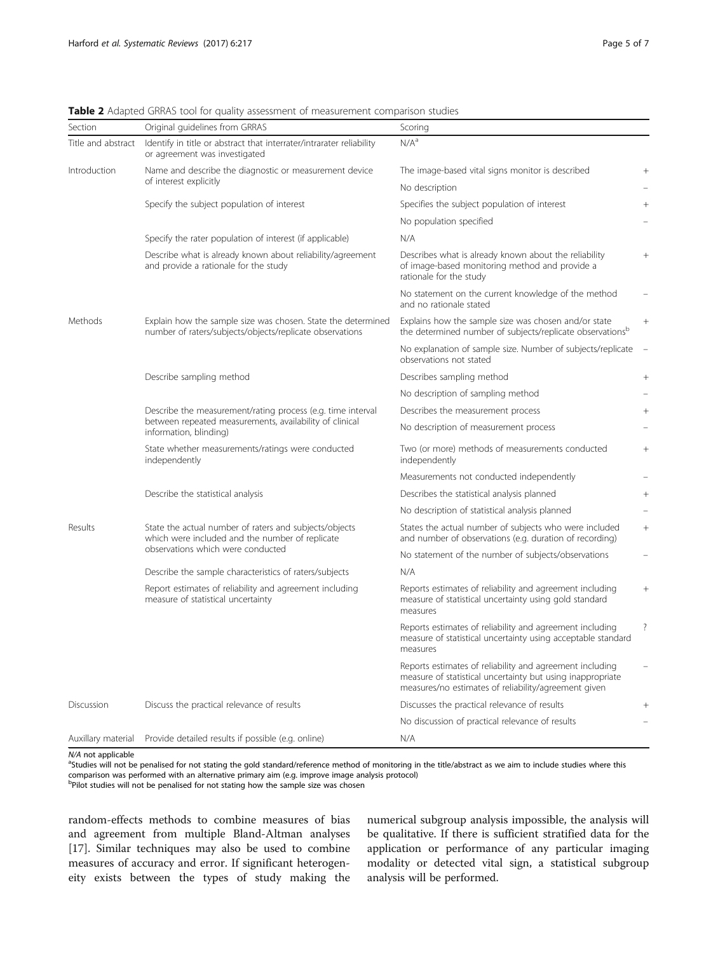| Section            | Original guidelines from GRRAS                                                                                           | Scoring                                                                                                                                                                        |                    |
|--------------------|--------------------------------------------------------------------------------------------------------------------------|--------------------------------------------------------------------------------------------------------------------------------------------------------------------------------|--------------------|
| Title and abstract | Identify in title or abstract that interrater/intrarater reliability<br>or agreement was investigated                    | N/A <sup>a</sup>                                                                                                                                                               |                    |
| Introduction       | Name and describe the diagnostic or measurement device                                                                   | The image-based vital signs monitor is described                                                                                                                               | $^{+}$             |
|                    | of interest explicitly                                                                                                   | No description                                                                                                                                                                 |                    |
|                    | Specify the subject population of interest                                                                               | Specifies the subject population of interest                                                                                                                                   | $^{+}$             |
|                    |                                                                                                                          | No population specified                                                                                                                                                        |                    |
|                    | Specify the rater population of interest (if applicable)                                                                 | N/A                                                                                                                                                                            |                    |
|                    | Describe what is already known about reliability/agreement<br>and provide a rationale for the study                      | Describes what is already known about the reliability<br>of image-based monitoring method and provide a<br>rationale for the study                                             | $^{+}$             |
|                    |                                                                                                                          | No statement on the current knowledge of the method<br>and no rationale stated                                                                                                 |                    |
| Methods            | Explain how the sample size was chosen. State the determined<br>number of raters/subjects/objects/replicate observations | Explains how the sample size was chosen and/or state<br>the determined number of subjects/replicate observationsb                                                              | $+$                |
|                    |                                                                                                                          | No explanation of sample size. Number of subjects/replicate<br>observations not stated                                                                                         |                    |
|                    | Describe sampling method                                                                                                 | Describes sampling method                                                                                                                                                      | $^{+}$             |
|                    |                                                                                                                          | No description of sampling method                                                                                                                                              |                    |
|                    | Describe the measurement/rating process (e.g. time interval                                                              | Describes the measurement process                                                                                                                                              | $^{+}$             |
|                    | between repeated measurements, availability of clinical<br>information, blinding)                                        | No description of measurement process                                                                                                                                          |                    |
|                    | State whether measurements/ratings were conducted<br>independently                                                       | Two (or more) methods of measurements conducted<br>independently                                                                                                               | $^{+}$             |
|                    |                                                                                                                          | Measurements not conducted independently                                                                                                                                       |                    |
|                    | Describe the statistical analysis                                                                                        | Describes the statistical analysis planned                                                                                                                                     | $^{+}$             |
|                    |                                                                                                                          | No description of statistical analysis planned                                                                                                                                 |                    |
| Results            | State the actual number of raters and subjects/objects<br>which were included and the number of replicate                | States the actual number of subjects who were included<br>and number of observations (e.g. duration of recording)                                                              | $^{+}$             |
|                    | observations which were conducted                                                                                        | No statement of the number of subjects/observations                                                                                                                            |                    |
|                    | Describe the sample characteristics of raters/subjects                                                                   | N/A                                                                                                                                                                            |                    |
|                    | Report estimates of reliability and agreement including<br>measure of statistical uncertainty                            | Reports estimates of reliability and agreement including<br>measure of statistical uncertainty using gold standard<br>measures                                                 | $^{+}$             |
|                    |                                                                                                                          | Reports estimates of reliability and agreement including<br>measure of statistical uncertainty using acceptable standard<br>measures                                           | $\overline{\cdot}$ |
|                    |                                                                                                                          | Reports estimates of reliability and agreement including<br>measure of statistical uncertainty but using inappropriate<br>measures/no estimates of reliability/agreement given |                    |
| Discussion         | Discuss the practical relevance of results                                                                               | Discusses the practical relevance of results                                                                                                                                   |                    |
|                    |                                                                                                                          | No discussion of practical relevance of results                                                                                                                                |                    |
| Auxillary material | Provide detailed results if possible (e.g. online)                                                                       | N/A                                                                                                                                                                            |                    |

<span id="page-4-0"></span>Table 2 Adapted GRRAS tool for quality assessment of measurement comparison studies

 $N/A$  not applicable

<sup>a</sup>Studies will not be penalised for not stating the gold standard/reference method of monitoring in the title/abstract as we aim to include studies where this comparison was performed with an alternative primary aim (e.g. improve image analysis protocol)

<sup>b</sup>Pilot studies will not be penalised for not stating how the sample size was chosen

random-effects methods to combine measures of bias and agreement from multiple Bland-Altman analyses [[17\]](#page-6-0). Similar techniques may also be used to combine measures of accuracy and error. If significant heterogeneity exists between the types of study making the

numerical subgroup analysis impossible, the analysis will be qualitative. If there is sufficient stratified data for the application or performance of any particular imaging modality or detected vital sign, a statistical subgroup analysis will be performed.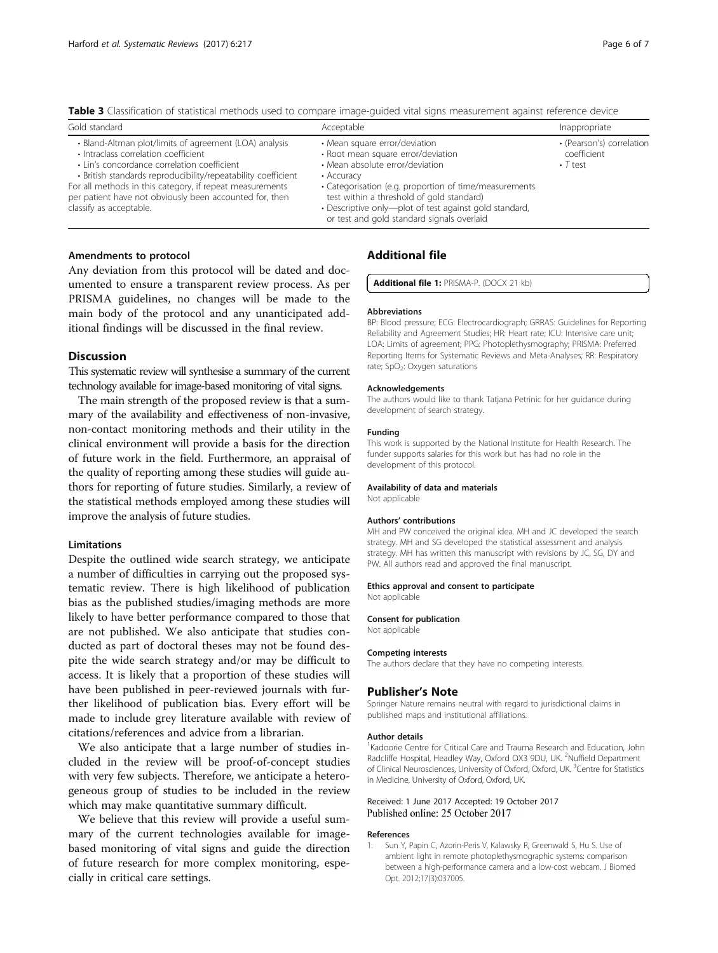<span id="page-5-0"></span>Table 3 Classification of statistical methods used to compare image-guided vital signs measurement against reference device

| Gold standard                                                                                                                                                                                                                                                                                                                                                    | Acceptable                                                                                                                                                                                                                                                                                                                          | Inappropriate                                              |
|------------------------------------------------------------------------------------------------------------------------------------------------------------------------------------------------------------------------------------------------------------------------------------------------------------------------------------------------------------------|-------------------------------------------------------------------------------------------------------------------------------------------------------------------------------------------------------------------------------------------------------------------------------------------------------------------------------------|------------------------------------------------------------|
| • Bland-Altman plot/limits of agreement (LOA) analysis<br>· Intraclass correlation coefficient<br>• Lin's concordance correlation coefficient<br>• British standards reproducibility/repeatability coefficient<br>For all methods in this category, if repeat measurements<br>per patient have not obviously been accounted for, then<br>classify as acceptable. | • Mean square error/deviation<br>• Root mean square error/deviation<br>• Mean absolute error/deviation<br>• Accuracy<br>• Categorisation (e.g. proportion of time/measurements<br>test within a threshold of gold standard)<br>• Descriptive only-plot of test against gold standard,<br>or test and gold standard signals overlaid | • (Pearson's) correlation<br>coefficient<br>$\cdot$ T test |

#### Amendments to protocol

Any deviation from this protocol will be dated and documented to ensure a transparent review process. As per PRISMA guidelines, no changes will be made to the main body of the protocol and any unanticipated additional findings will be discussed in the final review.

## **Discussion**

This systematic review will synthesise a summary of the current technology available for image-based monitoring of vital signs.

The main strength of the proposed review is that a summary of the availability and effectiveness of non-invasive, non-contact monitoring methods and their utility in the clinical environment will provide a basis for the direction of future work in the field. Furthermore, an appraisal of the quality of reporting among these studies will guide authors for reporting of future studies. Similarly, a review of the statistical methods employed among these studies will improve the analysis of future studies.

#### Limitations

Despite the outlined wide search strategy, we anticipate a number of difficulties in carrying out the proposed systematic review. There is high likelihood of publication bias as the published studies/imaging methods are more likely to have better performance compared to those that are not published. We also anticipate that studies conducted as part of doctoral theses may not be found despite the wide search strategy and/or may be difficult to access. It is likely that a proportion of these studies will have been published in peer-reviewed journals with further likelihood of publication bias. Every effort will be made to include grey literature available with review of citations/references and advice from a librarian.

We also anticipate that a large number of studies included in the review will be proof-of-concept studies with very few subjects. Therefore, we anticipate a heterogeneous group of studies to be included in the review which may make quantitative summary difficult.

We believe that this review will provide a useful summary of the current technologies available for imagebased monitoring of vital signs and guide the direction of future research for more complex monitoring, especially in critical care settings.

## Additional file

[Additional file 1:](dx.doi.org/10.1186/s13643-017-0615-3) PRISMA-P. (DOCX 21 kb)

#### Abbreviations

BP: Blood pressure; ECG: Electrocardiograph; GRRAS: Guidelines for Reporting Reliability and Agreement Studies; HR: Heart rate; ICU: Intensive care unit; LOA: Limits of agreement; PPG: Photoplethysmography; PRISMA: Preferred Reporting Items for Systematic Reviews and Meta-Analyses; RR: Respiratory rate; SpO<sub>2</sub>: Oxygen saturations

#### Acknowledgements

The authors would like to thank Tatjana Petrinic for her guidance during development of search strategy.

#### Funding

This work is supported by the National Institute for Health Research. The funder supports salaries for this work but has had no role in the development of this protocol.

#### Availability of data and materials

Not applicable

#### Authors' contributions

MH and PW conceived the original idea. MH and JC developed the search strategy. MH and SG developed the statistical assessment and analysis strategy. MH has written this manuscript with revisions by JC, SG, DY and PW. All authors read and approved the final manuscript.

#### Ethics approval and consent to participate

Not applicable

#### Consent for publication

Not applicable

#### Competing interests

The authors declare that they have no competing interests.

#### Publisher's Note

Springer Nature remains neutral with regard to jurisdictional claims in published maps and institutional affiliations.

#### Author details

<sup>1</sup> Kadoorie Centre for Critical Care and Trauma Research and Education, John Radcliffe Hospital, Headley Way, Oxford OX3 9DU, UK. <sup>2</sup>Nuffield Department of Clinical Neurosciences, University of Oxford, Oxford, UK. <sup>3</sup>Centre for Statistics in Medicine, University of Oxford, Oxford, UK.

#### Received: 1 June 2017 Accepted: 19 October 2017 Published online: 25 October 2017

#### References

1. Sun Y, Papin C, Azorin-Peris V, Kalawsky R, Greenwald S, Hu S. Use of ambient light in remote photoplethysmographic systems: comparison between a high-performance camera and a low-cost webcam. J Biomed Opt. 2012;17(3):037005.